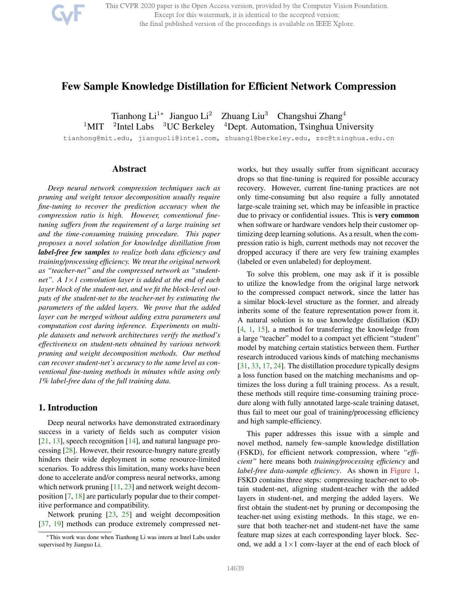

This CVPR 2020 paper is the Open Access version, provided by the Computer Vision Foundation. Except for this watermark, it is identical to the accepted version; the final published version of the proceedings is available on IEEE Xplore.

# Few Sample Knowledge Distillation for Efficient Network Compression

Tianhong Li<sup>1</sup>\* Jianguo Li<sup>2</sup> Zhuang Liu<sup>3</sup> Changshui Zhang<sup>4</sup>  $1$ MIT <sup>2</sup>Intel Labs  $3UC$  Berkeley  $4$ Dept. Automation, Tsinghua University

tianhong@mit.edu, jianguoli@intel.com, zhuangl@berkeley.edu, zsc@tsinghua.edu.cn

# Abstract

*Deep neural network compression techniques such as pruning and weight tensor decomposition usually require fine-tuning to recover the prediction accuracy when the compression ratio is high. However, conventional finetuning suffers from the requirement of a large training set and the time-consuming training procedure. This paper proposes a novel solution for knowledge distillation from label-free few samples to realize both data efficiency and training/processing efficiency. We treat the original network as "teacher-net" and the compressed network as "studentnet". A 1*×*1 convolution layer is added at the end of each layer block of the student-net, and we fit the block-level outputs of the student-net to the teacher-net by estimating the parameters of the added layers. We prove that the added layer can be merged without adding extra parameters and computation cost during inference. Experiments on multiple datasets and network architectures verify the method's effectiveness on student-nets obtained by various network pruning and weight decomposition methods. Our method can recover student-net's accuracy to the same level as conventional fine-tuning methods in minutes while using only 1% label-free data of the full training data.*

# 1. Introduction

Deep neural networks have demonstrated extraordinary success in a variety of fields such as computer vision [21, 13], speech recognition [14], and natural language processing [28]. However, their resource-hungry nature greatly hinders their wide deployment in some resource-limited scenarios. To address this limitation, many works have been done to accelerate and/or compress neural networks, among which network pruning [11, 23] and network weight decomposition [7, 18] are particularly popular due to their competitive performance and compatibility.

Network pruning [23, 25] and weight decomposition [37, 19] methods can produce extremely compressed networks, but they usually suffer from significant accuracy drops so that fine-tuning is required for possible accuracy recovery. However, current fine-tuning practices are not only time-consuming but also require a fully annotated large-scale training set, which may be infeasible in practice due to privacy or confidential issues. This is very common when software or hardware vendors help their customer optimizing deep learning solutions. As a result, when the compression ratio is high, current methods may not recover the dropped accuracy if there are very few training examples (labeled or even unlabeled) for deployment.

To solve this problem, one may ask if it is possible to utilize the knowledge from the original large network to the compressed compact network, since the latter has a similar block-level structure as the former, and already inherits some of the feature representation power from it. A natural solution is to use knowledge distillation (KD) [4, 1, 15], a method for transferring the knowledge from a large "teacher" model to a compact yet efficient "student" model by matching certain statistics between them. Further research introduced various kinds of matching mechanisms [31, 33, 17, 24]. The distillation procedure typically designs a loss function based on the matching mechanisms and optimizes the loss during a full training process. As a result, these methods still require time-consuming training procedure along with fully annotated large-scale training dataset, thus fail to meet our goal of training/processing efficiency and high sample-efficiency.

This paper addresses this issue with a simple and novel method, namely few-sample knowledge distillation (FSKD), for efficient network compression, where *"efficient"* here means both *training/processing efficiency* and *label-free data-sample efficiency*. As shown in Figure 1, FSKD contains three steps: compressing teacher-net to obtain student-net, aligning student-teacher with the added layers in student-net, and merging the added layers. We first obtain the student-net by pruning or decomposing the teacher-net using existing methods. In this stage, we ensure that both teacher-net and student-net have the same feature map sizes at each corresponding layer block. Second, we add a  $1 \times 1$  conv-layer at the end of each block of

<sup>∗</sup>This work was done when Tianhong Li was intern at Intel Labs under supervised by Jianguo Li.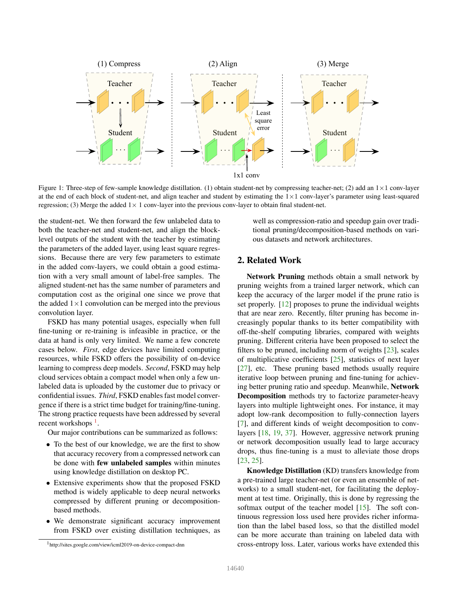

Figure 1: Three-step of few-sample knowledge distillation. (1) obtain student-net by compressing teacher-net; (2) add an  $1 \times 1$  conv-layer at the end of each block of student-net, and align teacher and student by estimating the  $1\times1$  conv-layer's parameter using least-squared regression; (3) Merge the added  $1 \times 1$  conv-layer into the previous conv-layer to obtain final student-net.

the student-net. We then forward the few unlabeled data to both the teacher-net and student-net, and align the blocklevel outputs of the student with the teacher by estimating the parameters of the added layer, using least square regressions. Because there are very few parameters to estimate in the added conv-layers, we could obtain a good estimation with a very small amount of label-free samples. The aligned student-net has the same number of parameters and computation cost as the original one since we prove that the added  $1 \times 1$  convolution can be merged into the previous convolution layer.

FSKD has many potential usages, especially when full fine-tuning or re-training is infeasible in practice, or the data at hand is only very limited. We name a few concrete cases below. *First*, edge devices have limited computing resources, while FSKD offers the possibility of on-device learning to compress deep models. *Second*, FSKD may help cloud services obtain a compact model when only a few unlabeled data is uploaded by the customer due to privacy or confidential issues. *Third*, FSKD enables fast model convergence if there is a strict time budget for training/fine-tuning. The strong practice requests have been addressed by several recent workshops<sup>1</sup>.

Our major contributions can be summarized as follows:

- To the best of our knowledge, we are the first to show that accuracy recovery from a compressed network can be done with few unlabeled samples within minutes using knowledge distillation on desktop PC.
- Extensive experiments show that the proposed FSKD method is widely applicable to deep neural networks compressed by different pruning or decompositionbased methods.
- We demonstrate significant accuracy improvement from FSKD over existing distillation techniques, as

well as compression-ratio and speedup gain over traditional pruning/decomposition-based methods on various datasets and network architectures.

### 2. Related Work

Network Pruning methods obtain a small network by pruning weights from a trained larger network, which can keep the accuracy of the larger model if the prune ratio is set properly. [12] proposes to prune the individual weights that are near zero. Recently, filter pruning has become increasingly popular thanks to its better compatibility with off-the-shelf computing libraries, compared with weights pruning. Different criteria have been proposed to select the filters to be pruned, including norm of weights [23], scales of multiplicative coefficients [25], statistics of next layer [27], etc. These pruning based methods usually require iterative loop between pruning and fine-tuning for achieving better pruning ratio and speedup. Meanwhile, Network Decomposition methods try to factorize parameter-heavy layers into multiple lightweight ones. For instance, it may adopt low-rank decomposition to fully-connection layers [7], and different kinds of weight decomposition to convlayers [18, 19, 37]. However, aggressive network pruning or network decomposition usually lead to large accuracy drops, thus fine-tuning is a must to alleviate those drops [23, 25].

Knowledge Distillation (KD) transfers knowledge from a pre-trained large teacher-net (or even an ensemble of networks) to a small student-net, for facilitating the deployment at test time. Originally, this is done by regressing the softmax output of the teacher model  $[15]$ . The soft continuous regression loss used here provides richer information than the label based loss, so that the distilled model can be more accurate than training on labeled data with cross-entropy loss. Later, various works have extended this

<sup>1</sup> http://sites.google.com/view/icml2019-on-device-compact-dnn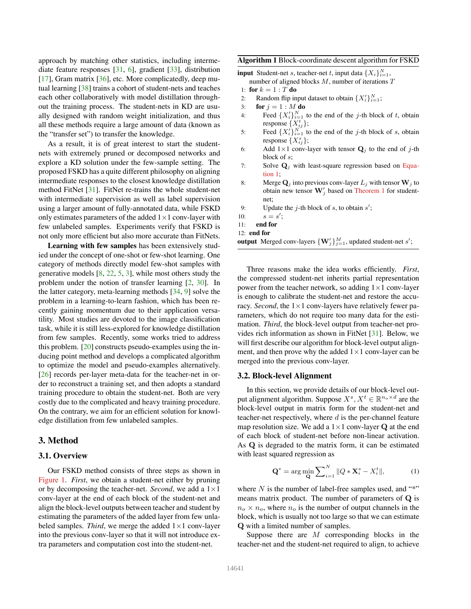approach by matching other statistics, including intermediate feature responses [31, 6], gradient [33], distribution [17], Gram matrix [36], etc. More complicatedly, deep mutual learning [38] trains a cohort of student-nets and teaches each other collaboratively with model distillation throughout the training process. The student-nets in KD are usually designed with random weight initialization, and thus all these methods require a large amount of data (known as the "transfer set") to transfer the knowledge.

As a result, it is of great interest to start the studentnets with extremely pruned or decomposed networks and explore a KD solution under the few-sample setting. The proposed FSKD has a quite different philosophy on aligning intermediate responses to the closest knowledge distillation method FitNet [31]. FitNet re-trains the whole student-net with intermediate supervision as well as label supervision using a larger amount of fully-annotated data, while FSKD only estimates parameters of the added  $1 \times 1$  conv-layer with few unlabeled samples. Experiments verify that FSKD is not only more efficient but also more accurate than FitNets.

Learning with few samples has been extensively studied under the concept of one-shot or few-shot learning. One category of methods directly model few-shot samples with generative models  $[8, 22, 5, 3]$ , while most others study the problem under the notion of transfer learning [2, 30]. In the latter category, meta-learning methods [34, 9] solve the problem in a learning-to-learn fashion, which has been recently gaining momentum due to their application versatility. Most studies are devoted to the image classification task, while it is still less-explored for knowledge distillation from few samples. Recently, some works tried to address this problem. [20] constructs pseudo-examples using the inducing point method and develops a complicated algorithm to optimize the model and pseudo-examples alternatively. [26] records per-layer meta-data for the teacher-net in order to reconstruct a training set, and then adopts a standard training procedure to obtain the student-net. Both are very costly due to the complicated and heavy training procedure. On the contrary, we aim for an efficient solution for knowledge distillation from few unlabeled samples.

### 3. Method

### 3.1. Overview

Our FSKD method consists of three steps as shown in Figure 1. *First*, we obtain a student-net either by pruning or by decomposing the teacher-net. *Second*, we add a  $1 \times 1$ conv-layer at the end of each block of the student-net and align the block-level outputs between teacher and student by estimating the parameters of the added layer from few unlabeled samples. *Third*, we merge the added  $1 \times 1$  conv-layer into the previous conv-layer so that it will not introduce extra parameters and computation cost into the student-net.

### Algorithm 1 Block-coordinate descent algorithm for FSKD

**input** Student-net *s*, teacher-net *t*, input data  $\{X_i\}_{i=1}^N$ ,

- number of aligned blocks  $M$ , number of iterations  $T$ 1: for  $k = 1 : T$  do
- 
- 2: Random flip input dataset to obtain  $\{X_i'\}_{i=1}^N$ ;
- 3: **for**  $j = 1 : M$  **do**
- 4: Feed  $\{X_i'\}_{i=1}^N$  to the end of the *j*-th block of *t*, obtain response  $\{X_{ij}^t\};$
- 5: Feed  $\{X_i'\}_{i=1}^{N}$  to the end of the *j*-th block of *s*, obtain response  $\{X_{ij}^s\};$
- 6: Add  $1\times1$  conv-layer with tensor  $\mathbf{Q}_j$  to the end of j-th block of s;
- 7: Solve  $\mathbf{Q}_j$  with least-square regression based on Equation 1;
- 8: Merge  $Q_i$  into previous conv-layer  $L_i$  with tensor  $W_i$  to obtain new tensor  $\mathbf{W}'_j$  based on Theorem 1 for studentnet;
- 9: Update the *j*-th block of *s*, to obtain  $s'$ ;
- 10:  $s = s'$ ;
- 11: end for
- 12: end for

output Merged conv-layers  $\{W_j'\}_{j=1}^M$ , updated student-net s';

Three reasons make the idea works efficiently. *First*, the compressed student-net inherits partial representation power from the teacher network, so adding  $1 \times 1$  conv-layer is enough to calibrate the student-net and restore the accuracy. *Second*, the  $1 \times 1$  conv-layers have relatively fewer parameters, which do not require too many data for the estimation. *Third*, the block-level output from teacher-net provides rich information as shown in FitNet [31]. Below, we will first describe our algorithm for block-level output alignment, and then prove why the added  $1 \times 1$  conv-layer can be merged into the previous conv-layer.

#### 3.2. Block-level Alignment

In this section, we provide details of our block-level output alignment algorithm. Suppose  $X^s, X^t \in \mathbb{R}^{n_o \times d}$  are the block-level output in matrix form for the student-net and teacher-net respectively, where  $d$  is the per-channel feature map resolution size. We add a  $1 \times 1$  conv-layer Q at the end of each block of student-net before non-linear activation. As Q is degraded to the matrix form, it can be estimated with least squared regression as

$$
\mathbf{Q}^* = \arg\min_{\mathbf{Q}} \sum_{i=1}^N \|Q \ast \mathbf{X}_i^s - X_i^t\|,\tag{1}
$$

where  $N$  is the number of label-free samples used, and "\*" means matrix product. The number of parameters of Q is  $n_o \times n_o$ , where  $n_o$  is the number of output channels in the block, which is usually not too large so that we can estimate Q with a limited number of samples.

Suppose there are  $M$  corresponding blocks in the teacher-net and the student-net required to align, to achieve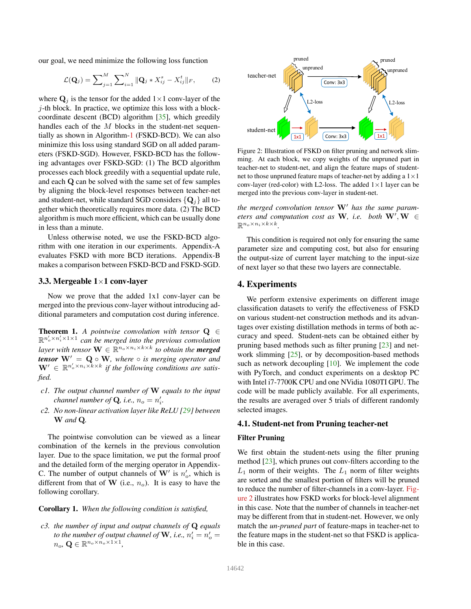our goal, we need minimize the following loss function

$$
\mathcal{L}(\mathbf{Q}_j) = \sum_{j=1}^{M} \sum_{i=1}^{N} ||\mathbf{Q}_j * X_{ij}^s - X_{ij}^t||_F, \qquad (2)
$$

where  $\mathbf{Q}_j$  is the tensor for the added  $1 \times 1$  conv-layer of the  $j$ -th block. In practice, we optimize this loss with a blockcoordinate descent (BCD) algorithm [35], which greedily handles each of the M blocks in the student-net sequentially as shown in Algorithm-1 (FSKD-BCD). We can also minimize this loss using standard SGD on all added parameters (FSKD-SGD). However, FSKD-BCD has the following advantages over FSKD-SGD: (1) The BCD algorithm processes each block greedily with a sequential update rule, and each Q can be solved with the same set of few samples by aligning the block-level responses between teacher-net and student-net, while standard SGD considers  $\{Q_i\}$  all together which theoretically requires more data. (2) The BCD algorithm is much more efficient, which can be usually done in less than a minute.

Unless otherwise noted, we use the FSKD-BCD algorithm with one iteration in our experiments. Appendix-A evaluates FSKD with more BCD iterations. Appendix-B makes a comparison between FSKD-BCD and FSKD-SGD.

### 3.3. Mergeable 1×1 conv-layer

Now we prove that the added 1x1 conv-layer can be merged into the previous conv-layer without introducing additional parameters and computation cost during inference.

Theorem 1. *A pointwise convolution with tensor* Q ∈  $\mathbb{R}^{n'_o \times n'_i \times 1 \times 1}$  can be merged into the previous convolution *layer with tensor*  $\mathbf{W} \in \mathbb{R}^{n_o \times n_i \times k \times k}$  *to obtain the merged tensor*  $W' = Q \circ W$ *, where*  $\circ$  *is merging operator and*  $\mathbf{W}' \in \mathbb{R}^{n_o' \times n_i \times k \times k}$  if the following conditions are satis*fied.*

- *c1. The output channel number of* W *equals to the input channel number of* **Q**, *i.e.*,  $n_o = n'_i$ .
- *c2. No non-linear activation layer like ReLU [29] between* W *and* Q*.*

The pointwise convolution can be viewed as a linear combination of the kernels in the previous convolution layer. Due to the space limitation, we put the formal proof and the detailed form of the merging operator in Appendix-C. The number of output channels of  $W'$  is  $n'_o$ , which is different from that of W (i.e.,  $n_o$ ). It is easy to have the following corollary.

#### Corollary 1. *When the following condition is satisfied,*

*c3. the number of input and output channels of* Q *equals to the number of output channel of* **W**, *i.e.*,  $n'_i = n'_o =$  $n_o$ ,  $\mathbf{Q} \in \mathbb{R}^{n_o \times n_o \times 1 \times 1}$ ,



Figure 2: Illustration of FSKD on filter pruning and network slimming. At each block, we copy weights of the unpruned part in teacher-net to student-net, and align the feature maps of studentnet to those unpruned feature maps of teacher-net by adding a  $1 \times 1$ conv-layer (red-color) with L2-loss. The added  $1\times1$  layer can be merged into the previous conv-layer in student-net.

*the merged convolution tensor* W′ *has the same parameters and computation cost as*  $W$ *, i.e. both*  $W', W \in$  $\mathbb{R}^{n_o \times n_i \times k \times k}$ .

This condition is required not only for ensuring the same parameter size and computing cost, but also for ensuring the output-size of current layer matching to the input-size of next layer so that these two layers are connectable.

### 4. Experiments

We perform extensive experiments on different image classification datasets to verify the effectiveness of FSKD on various student-net construction methods and its advantages over existing distillation methods in terms of both accuracy and speed. Student-nets can be obtained either by pruning based methods such as filter pruning [23] and network slimming [25], or by decomposition-based methods such as network decoupling [10]. We implement the code with PyTorch, and conduct experiments on a desktop PC with Intel i7-7700K CPU and one NVidia 1080TI GPU. The code will be made publicly available. For all experiments, the results are averaged over 5 trials of different randomly selected images.

#### 4.1. Student-net from Pruning teacher-net

### Filter Pruning

We first obtain the student-nets using the filter pruning method [23], which prunes out conv-filters according to the  $L_1$  norm of their weights. The  $L_1$  norm of filter weights are sorted and the smallest portion of filters will be pruned to reduce the number of filter-channels in a conv-layer. Figure 2 illustrates how FSKD works for block-level alignment in this case. Note that the number of channels in teacher-net may be different from that in student-net. However, we only match the *un-pruned part* of feature-maps in teacher-net to the feature maps in the student-net so that FSKD is applicable in this case.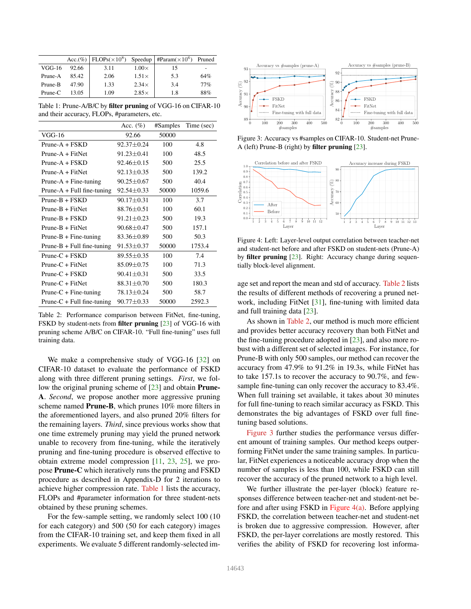|           |       |      |              | Acc.(%)   FLOPs( $\times 10^8$ ) Speedup   #Param( $\times 10^6$ ) | Pruned |
|-----------|-------|------|--------------|--------------------------------------------------------------------|--------|
| $VGG-16$  | 92.66 | 3.11 | $1.00\times$ | 15                                                                 |        |
| Prune-A   | 85.42 | 2.06 | $1.51\times$ | 5.3                                                                | 64%    |
| Prune-B   | 47.90 | 1.33 | $2.34\times$ | 3.4                                                                | 77%    |
| $Prune-C$ | 13.05 | 1.09 | $2.85\times$ | 1.8                                                                | 88%    |

Table 1: Prune-A/B/C by filter pruning of VGG-16 on CIFAR-10 and their accuracy, FLOPs, #parameters, etc.

|                              | Acc. $(\%)$      | #Samples | Time (sec) |
|------------------------------|------------------|----------|------------|
| $VGG-16$                     | 92.66            | 50000    |            |
| $Prune-A + FSKD$             | $92.37 \pm 0.24$ | 100      | 4.8        |
| $Prune-A + FitNet$           | $91.23 \pm 0.41$ | 100      | 48.5       |
| $Prune-A + FSKD$             | $92.46 \pm 0.15$ | 500      | 25.5       |
| $Prune-A + FitNet$           | $92.13 \pm 0.35$ | 500      | 139.2      |
| $Prune-A + Fine-tuning$      | $90.25 \pm 0.67$ | 500      | 40.4       |
| $Prune-A + Full fine-tuning$ | $92.54 \pm 0.33$ | 50000    | 1059.6     |
| $Prune-B + FSKD$             | $90.17 \pm 0.31$ | 100      | 3.7        |
| $Prune-B + FitNet$           | 88.76±0.51       | 100      | 60.1       |
| $Prune-B + FSKD$             | $91.21 \pm 0.23$ | 500      | 19.3       |
| $Prune-B + FitNet$           | $90.68 \pm 0.47$ | 500      | 157.1      |
| $Prune-B + Fine-tuning$      | $83.36 \pm 0.89$ | 500      | 50.3       |
| $Prune-B + Full fine-tuning$ | $91.53 \pm 0.37$ | 50000    | 1753.4     |
| $Prune-C + FSKD$             | 89.55±0.35       | 100      | 7.4        |
| $Prune-C + FitNet$           | $85.09 \pm 0.75$ | 100      | 71.3       |
| $Prune-C + FSKD$             | $90.41 \pm 0.31$ | 500      | 33.5       |
| $Prune-C + FitNet$           | $88.31 \pm 0.70$ | 500      | 180.3      |
| $Prune-C + Fine-tuning$      | 78.13±0.24       | 500      | 58.7       |
| $Prune-C + Full fine-tuning$ | $90.77 \pm 0.33$ | 50000    | 2592.3     |

Table 2: Performance comparison between FitNet, fine-tuning, FSKD by student-nets from filter pruning [23] of VGG-16 with pruning scheme A/B/C on CIFAR-10. "Full fine-tuning" uses full training data.

We make a comprehensive study of VGG-16 [32] on CIFAR-10 dataset to evaluate the performance of FSKD along with three different pruning settings. *First*, we follow the original pruning scheme of [23] and obtain Prune-A. *Second*, we propose another more aggressive pruning scheme named Prune-B, which prunes 10% more filters in the aforementioned layers, and also pruned 20% filters for the remaining layers. *Third*, since previous works show that one time extremely pruning may yield the pruned network unable to recovery from fine-tuning, while the iteratively pruning and fine-tuning procedure is observed effective to obtain extreme model compression [11, 23, 25], we propose Prune-C which iteratively runs the pruning and FSKD procedure as described in Appendix-D for 2 iterations to achieve higher compression rate. Table 1 lists the accuracy, FLOPs and #parameter information for three student-nets obtained by these pruning schemes.

For the few-sample setting, we randomly select 100 (10 for each category) and 500 (50 for each category) images from the CIFAR-10 training set, and keep them fixed in all experiments. We evaluate 5 different randomly-selected im-



Figure 3: Accuracy vs #samples on CIFAR-10. Student-net Prune-A (left) Prune-B (right) by filter pruning [23].



Figure 4: Left: Layer-level output correlation between teacher-net and student-net before and after FSKD on student-nets (Prune-A) by filter pruning [23]. Right: Accuracy change during sequentially block-level alignment.

age set and report the mean and std of accuracy. Table 2 lists the results of different methods of recovering a pruned network, including FitNet [31], fine-tuning with limited data and full training data [23].

As shown in Table 2, our method is much more efficient and provides better accuracy recovery than both FitNet and the fine-tuning procedure adopted in  $[23]$ , and also more robust with a different set of selected images. For instance, for Prune-B with only 500 samples, our method can recover the accuracy from 47.9% to 91.2% in 19.3s, while FitNet has to take 157.1s to recover the accuracy to 90.7%, and fewsample fine-tuning can only recover the accuracy to 83.4%. When full training set available, it takes about 30 minutes for full fine-tuning to reach similar accuracy as FSKD. This demonstrates the big advantages of FSKD over full finetuning based solutions.

Figure 3 further studies the performance versus different amount of training samples. Our method keeps outperforming FitNet under the same training samples. In particular, FitNet experiences a noticeable accuracy drop when the number of samples is less than 100, while FSKD can still recover the accuracy of the pruned network to a high level.

We further illustrate the per-layer (block) feature responses difference between teacher-net and student-net before and after using FSKD in Figure 4(a). Before applying FSKD, the correlation between teacher-net and student-net is broken due to aggressive compression. However, after FSKD, the per-layer correlations are mostly restored. This verifies the ability of FSKD for recovering lost informa-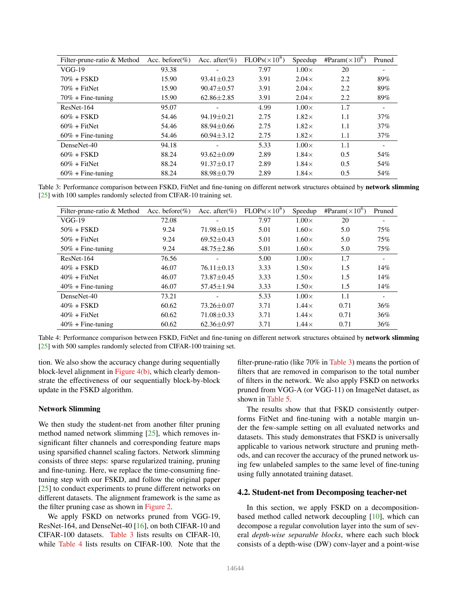| Filter-prune-ratio & Method | Acc. before $(\%)$ | Acc. after $(\% )$ | $FLOPs(\times 10^8)$ | Speedup      | #Param( $\times 10^{6}$ ) | Pruned |
|-----------------------------|--------------------|--------------------|----------------------|--------------|---------------------------|--------|
| $VGG-19$                    | 93.38              |                    | 7.97                 | $1.00\times$ | 20                        |        |
| $70\% + FSKD$               | 15.90              | $93.41 \pm 0.23$   | 3.91                 | $2.04\times$ | 2.2                       | 89%    |
| $70\% + \text{FitNet}$      | 15.90              | $90.47 \pm 0.57$   | 3.91                 | $2.04\times$ | 2.2                       | 89%    |
| $70\% +$ Fine-tuning        | 15.90              | $62.86 \pm 2.85$   | 3.91                 | $2.04\times$ | 2.2                       | 89%    |
| ResNet-164                  | 95.07              |                    | 4.99                 | $1.00\times$ | 1.7                       |        |
| $60\% + FSKD$               | 54.46              | $94.19 + 0.21$     | 2.75                 | $1.82\times$ | 1.1                       | 37%    |
| $60\% + \text{FitNet}$      | 54.46              | $88.94 + 0.66$     | 2.75                 | $1.82\times$ | 1.1                       | 37%    |
| $60\% +$ Fine-tuning        | 54.46              | $60.94 \pm 3.12$   | 2.75                 | $1.82\times$ | 1.1                       | 37%    |
| DenseNet-40                 | 94.18              |                    | 5.33                 | $1.00\times$ | 1.1                       |        |
| $60\% + FSKD$               | 88.24              | $93.62 \pm 0.09$   | 2.89                 | $1.84\times$ | 0.5                       | 54%    |
| $60\% + \text{FitNet}$      | 88.24              | $91.37 + 0.17$     | 2.89                 | $1.84\times$ | 0.5                       | 54%    |
| $60\% +$ Fine-tuning        | 88.24              | $88.98 \pm 0.79$   | 2.89                 | $1.84\times$ | 0.5                       | 54%    |

Table 3: Performance comparison between FSKD, FitNet and fine-tuning on different network structures obtained by network slimming [25] with 100 samples randomly selected from CIFAR-10 training set.

| Filter-prune-ratio & Method | Acc. before $(\% )$ | Acc. after $(\% )$ | $FLOPs(\times 10^8)$ | Speedup      | #Param( $\times 10^6$ ) | Pruned                   |
|-----------------------------|---------------------|--------------------|----------------------|--------------|-------------------------|--------------------------|
| $VGG-19$                    | 72.08               |                    | 7.97                 | $1.00\times$ | 20                      |                          |
| $50\% + FSKD$               | 9.24                | $71.98 \pm 0.15$   | 5.01                 | $1.60\times$ | 5.0                     | 75%                      |
| $50\% + \text{FitNet}$      | 9.24                | $69.52 \pm 0.43$   | 5.01                 | $1.60\times$ | 5.0                     | 75%                      |
| $50\% +$ Fine-tuning        | 9.24                | $48.75 \pm 2.86$   | 5.01                 | $1.60\times$ | 5.0                     | 75%                      |
| ResNet-164                  | 76.56               |                    | 5.00                 | $1.00\times$ | 1.7                     | $\overline{\phantom{a}}$ |
| $40\% + FSKD$               | 46.07               | $76.11 \pm 0.13$   | 3.33                 | $1.50\times$ | 1.5                     | 14%                      |
| $40\% + \text{FitNet}$      | 46.07               | $73.87 + 0.45$     | 3.33                 | $1.50\times$ | 1.5                     | 14%                      |
| $40\% +$ Fine-tuning        | 46.07               | $57.45 \pm 1.94$   | 3.33                 | $1.50\times$ | 1.5                     | 14%                      |
| DenseNet-40                 | 73.21               |                    | 5.33                 | $1.00\times$ | 1.1                     |                          |
| $40\% + FSKD$               | 60.62               | $73.26 + 0.07$     | 3.71                 | $1.44\times$ | 0.71                    | 36%                      |
| $40\% + \text{FitNet}$      | 60.62               | $71.08 \pm 0.33$   | 3.71                 | $1.44\times$ | 0.71                    | 36%                      |
| $40\% +$ Fine-tuning        | 60.62               | $62.36 \pm 0.97$   | 3.71                 | $1.44\times$ | 0.71                    | 36%                      |

Table 4: Performance comparison between FSKD, FitNet and fine-tuning on different network structures obtained by network slimming [25] with 500 samples randomly selected from CIFAR-100 training set.

tion. We also show the accuracy change during sequentially block-level alignment in Figure 4(b), which clearly demonstrate the effectiveness of our sequentially block-by-block update in the FSKD algorithm.

### Network Slimming

We then study the student-net from another filter pruning method named network slimming  $[25]$ , which removes insignificant filter channels and corresponding feature maps using sparsified channel scaling factors. Network slimming consists of three steps: sparse regularized training, pruning and fine-tuning. Here, we replace the time-consuming finetuning step with our FSKD, and follow the original paper [25] to conduct experiments to prune different networks on different datasets. The alignment framework is the same as the filter pruning case as shown in Figure 2.

We apply FSKD on networks pruned from VGG-19, ResNet-164, and DenseNet-40 [16], on both CIFAR-10 and CIFAR-100 datasets. Table 3 lists results on CIFAR-10, while Table 4 lists results on CIFAR-100. Note that the filter-prune-ratio (like 70% in Table 3) means the portion of filters that are removed in comparison to the total number of filters in the network. We also apply FSKD on networks pruned from VGG-A (or VGG-11) on ImageNet dataset, as shown in Table 5.

The results show that that FSKD consistently outperforms FitNet and fine-tuning with a notable margin under the few-sample setting on all evaluated networks and datasets. This study demonstrates that FSKD is universally applicable to various network structure and pruning methods, and can recover the accuracy of the pruned network using few unlabeled samples to the same level of fine-tuning using fully annotated training dataset.

# 4.2. Student-net from Decomposing teacher-net

In this section, we apply FSKD on a decompositionbased method called network decoupling [10], which can decompose a regular convolution layer into the sum of several *depth-wise separable blocks*, where each such block consists of a depth-wise (DW) conv-layer and a point-wise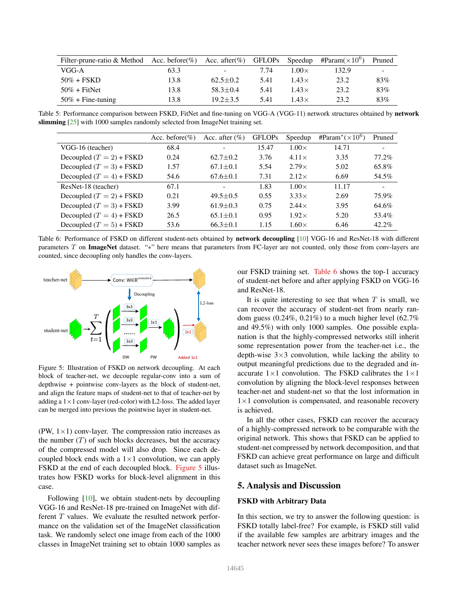| Filter-prune-ratio & Method Acc. before $(\%)$ |      | Acc. after $(\%)$ | GFLOPs | Speedup      | #Param( $\times 10^6$ ) | Pruned |
|------------------------------------------------|------|-------------------|--------|--------------|-------------------------|--------|
| VGG-A                                          | 63.3 | -                 | 7.74   | $1.00\times$ | 132.9                   |        |
| $50\% + FSKD$                                  | 13.8 | $62.5+0.2$        | 5.41   | $1.43\times$ | 23.2                    | 83%    |
| $50\% + \text{FitNet}$                         | 13.8 | $58.3 + 0.4$      | 5.41   | $1.43\times$ | 23.2                    | 83%    |
| $50\% +$ Fine-tuning                           | 13.8 | $19.2 + 3.5$      | 5.41   | $1.43\times$ | 23.2                    | 83%    |

Table 5: Performance comparison between FSKD, FitNet and fine-tuning on VGG-A (VGG-11) network structures obtained by network slimming [25] with 1000 samples randomly selected from ImageNet training set.

|                            | Acc. before $(\%)$ | Acc. after $(\% )$ | <b>GFLOPs</b> | Speedup      | #Param <sup>*</sup> $(\times 10^{6})$ | Pruned |
|----------------------------|--------------------|--------------------|---------------|--------------|---------------------------------------|--------|
| VGG-16 (teacher)           | 68.4               |                    | 15.47         | $1.00\times$ | 14.71                                 |        |
| Decoupled $(T = 2)$ + FSKD | 0.24               | $62.7 \pm 0.2$     | 3.76          | $4.11\times$ | 3.35                                  | 77.2%  |
| Decoupled $(T = 3) + FSKD$ | 1.57               | $67.1 + 0.1$       | 5.54          | $2.79\times$ | 5.02                                  | 65.8%  |
| Decoupled $(T = 4) + FSKD$ | 54.6               | $67.6 \pm 0.1$     | 7.31          | $2.12\times$ | 6.69                                  | 54.5%  |
| ResNet-18 (teacher)        | 67.1               |                    | 1.83          | $1.00\times$ | 11.17                                 |        |
| Decoupled $(T = 2)$ + FSKD | 0.21               | $49.5 \pm 0.5$     | 0.55          | $3.33\times$ | 2.69                                  | 75.9%  |
| Decoupled $(T = 3)$ + FSKD | 3.99               | $61.9 + 0.3$       | 0.75          | $2.44\times$ | 3.95                                  | 64.6%  |
| Decoupled $(T = 4) + FSKD$ | 26.5               | $65.1 + 0.1$       | 0.95          | $1.92\times$ | 5.20                                  | 53.4%  |
| Decoupled $(T = 5)$ + FSKD | 53.6               | $66.3 \pm 0.1$     | 1.15          | $1.60\times$ | 6.46                                  | 42.2%  |

Table 6: Performance of FSKD on different student-nets obtained by network decoupling [10] VGG-16 and ResNet-18 with different parameters T on ImageNet dataset. "\*" here means that parameters from FC-layer are not counted, only those from conv-layers are counted, since decoupling only handles the conv-layers.



Figure 5: Illustration of FSKD on network decoupling. At each block of teacher-net, we decouple regular-conv into a sum of depthwise + pointwise conv-layers as the block of student-net, and align the feature maps of student-net to that of teacher-net by adding a  $1 \times 1$  conv-layer (red-color) with L2-loss. The added layer can be merged into previous the pointwise layer in student-net.

(PW,  $1 \times 1$ ) conv-layer. The compression ratio increases as the number  $(T)$  of such blocks decreases, but the accuracy of the compressed model will also drop. Since each decoupled block ends with a  $1 \times 1$  convolution, we can apply FSKD at the end of each decoupled block. Figure 5 illustrates how FSKD works for block-level alignment in this case.

Following [10], we obtain student-nets by decoupling VGG-16 and ResNet-18 pre-trained on ImageNet with different  $T$  values. We evaluate the resulted network performance on the validation set of the ImageNet classification task. We randomly select one image from each of the 1000 classes in ImageNet training set to obtain 1000 samples as

our FSKD training set. Table 6 shows the top-1 accuracy of student-net before and after applying FSKD on VGG-16 and ResNet-18.

It is quite interesting to see that when  $T$  is small, we can recover the accuracy of student-net from nearly random guess  $(0.24\%, 0.21\%)$  to a much higher level  $(62.7\%)$ and 49.5%) with only 1000 samples. One possible explanation is that the highly-compressed networks still inherit some representation power from the teacher-net i.e., the depth-wise  $3\times3$  convolution, while lacking the ability to output meaningful predictions due to the degraded and inaccurate  $1\times1$  convolution. The FSKD calibrates the  $1\times1$ convolution by aligning the block-level responses between teacher-net and student-net so that the lost information in  $1\times1$  convolution is compensated, and reasonable recovery is achieved.

In all the other cases, FSKD can recover the accuracy of a highly-compressed network to be comparable with the original network. This shows that FSKD can be applied to student-net compressed by network decomposition, and that FSKD can achieve great performance on large and difficult dataset such as ImageNet.

### 5. Analysis and Discussion

### FSKD with Arbitrary Data

In this section, we try to answer the following question: is FSKD totally label-free? For example, is FSKD still valid if the available few samples are arbitrary images and the teacher network never sees these images before? To answer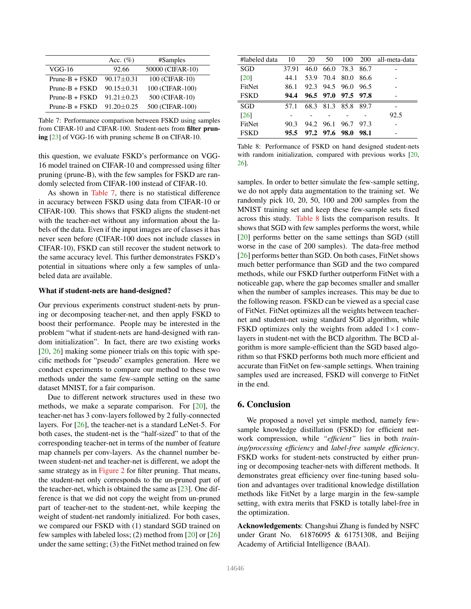|                  | Acc. $(\%)$      | #Samples         |
|------------------|------------------|------------------|
| $VGG-16$         | 92.66            | 50000 (CIFAR-10) |
| $Prune-B + FSKD$ | $90.17 \pm 0.31$ | 100 (CIFAR-10)   |
| $Prune-B + FSKD$ | $90.15 + 0.31$   | 100 (CIFAR-100)  |
| $Prune-B + FSKD$ | $91.21 + 0.23$   | 500 (CIFAR-10)   |
| $Prune-B + FSKD$ | $91.20 \pm 0.25$ | 500 (CIFAR-100)  |

Table 7: Performance comparison between FSKD using samples from CIFAR-10 and CIFAR-100. Student-nets from filter pruning [23] of VGG-16 with pruning scheme B on CIFAR-10.

this question, we evaluate FSKD's performance on VGG-16 model trained on CIFAR-10 and compressed using filter pruning (prune-B), with the few samples for FSKD are randomly selected from CIFAR-100 instead of CIFAR-10.

As shown in Table 7, there is no statistical difference in accuracy between FSKD using data from CIFAR-10 or CIFAR-100. This shows that FSKD aligns the student-net with the teacher-net without any information about the labels of the data. Even if the input images are of classes it has never seen before (CIFAR-100 does not include classes in CIFAR-10), FSKD can still recover the student network to the same accuracy level. This further demonstrates FSKD's potential in situations where only a few samples of unlabeled data are available.

### What if student-nets are hand-designed?

Our previous experiments construct student-nets by pruning or decomposing teacher-net, and then apply FSKD to boost their performance. People may be interested in the problem "what if student-nets are hand-designed with random initialization". In fact, there are two existing works [20, 26] making some pioneer trials on this topic with specific methods for "pseudo" examples generation. Here we conduct experiments to compare our method to these two methods under the same few-sample setting on the same dataset MNIST, for a fair comparison.

Due to different network structures used in these two methods, we make a separate comparison. For [20], the teacher-net has 3 conv-layers followed by 2 fully-connected layers. For [26], the teacher-net is a standard LeNet-5. For both cases, the student-net is the "half-sized" to that of the corresponding teacher-net in terms of the number of feature map channels per conv-layers. As the channel number between student-net and teacher-net is different, we adopt the same strategy as in Figure 2 for filter pruning. That means, the student-net only corresponds to the un-pruned part of the teacher-net, which is obtained the same as [23]. One difference is that we did not copy the weight from un-pruned part of teacher-net to the student-net, while keeping the weight of student-net randomly initialized. For both cases, we compared our FSKD with (1) standard SGD trained on few samples with labeled loss; (2) method from [20] or [26] under the same setting; (3) the FitNet method trained on few

| #labeled data      | - 10  | 20 |                |                     |        | 50 100 200 all-meta-data |
|--------------------|-------|----|----------------|---------------------|--------|--------------------------|
| <b>SGD</b>         | 37.91 |    |                | 46.0 66.0 78.3 86.7 |        |                          |
| <b>[20]</b>        | 44.1  |    |                | 53.9 70.4 80.0 86.6 |        |                          |
| FitNet             | 86.1  |    |                | 92.3 94.5 96.0 96.5 |        |                          |
| <b>FSKD</b>        | 94.4  |    |                | 96.5 97.0 97.5 97.8 |        |                          |
| <b>SGD</b>         | 57.1  |    |                | 68.3 81.3 85.8 89.7 |        |                          |
| $\lceil 26 \rceil$ |       |    |                |                     |        | 92.5                     |
| FitNet             | 90.3  |    |                | 94.2 96.1 96.7 97.3 |        |                          |
| <b>FSKD</b>        | 95.5  |    | 97.2 97.6 98.0 |                     | - 98.1 |                          |

Table 8: Performance of FSKD on hand designed student-nets with random initialization, compared with previous works [20, 26].

samples. In order to better simulate the few-sample setting, we do not apply data augmentation to the training set. We randomly pick 10, 20, 50, 100 and 200 samples from the MNIST training set and keep these few-sample sets fixed across this study. Table 8 lists the comparison results. It shows that SGD with few samples performs the worst, while [20] performs better on the same settings than SGD (still worse in the case of 200 samples). The data-free method [26] performs better than SGD. On both cases, FitNet shows much better performance than SGD and the two compared methods, while our FSKD further outperform FitNet with a noticeable gap, where the gap becomes smaller and smaller when the number of samples increases. This may be due to the following reason. FSKD can be viewed as a special case of FitNet. FitNet optimizes all the weights between teachernet and student-net using standard SGD algorithm, while FSKD optimizes only the weights from added  $1\times1$  convlayers in student-net with the BCD algorithm. The BCD algorithm is more sample-efficient than the SGD based algorithm so that FSKD performs both much more efficient and accurate than FitNet on few-sample settings. When training samples used are increased, FSKD will converge to FitNet in the end.

### 6. Conclusion

We proposed a novel yet simple method, namely fewsample knowledge distillation (FSKD) for efficient network compression, while *"efficient"* lies in both *training/processing efficiency* and *label-free sample efficiency*. FSKD works for student-nets constructed by either pruning or decomposing teacher-nets with different methods. It demonstrates great efficiency over fine-tuning based solution and advantages over traditional knowledge distillation methods like FitNet by a large margin in the few-sample setting, with extra merits that FSKD is totally label-free in the optimization.

Acknowledgements: Changshui Zhang is funded by NSFC under Grant No. 61876095 & 61751308, and Beijing Academy of Artificial Intelligence (BAAI).